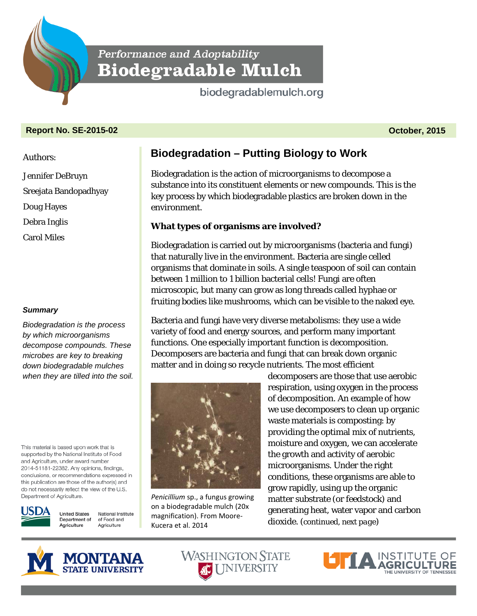Performance and Adoptability **Biodegradable Mulch** 

biodegradablemulch.org

### **Report No. SE-2015-02 October, 2015**

Authors:

Jennifer DeBruyn Sreejata Bandopadhyay

Doug Hayes

Debra Inglis

Carol Miles

#### *Summary*

*Biodegradation is the process by which microorganisms decompose compounds. These microbes are key to breaking down biodegradable mulches when they are tilled into the soil.* 

This material is based upon work that is supported by the National Institute of Food and Agriculture, under award number 2014-51181-22382. Any opinions, findings, conclusions, or recommendations expressed in this publication are those of the author(s) and do not necessarily reflect the view of the U.S. Department of Agriculture.



**United States** National Institute Department of of Food and Agriculture Agriculture

# **Biodegradation – Putting Biology to Work**

Biodegradation is the action of microorganisms to decompose a substance into its constituent elements or new compounds. This is the key process by which biodegradable plastics are broken down in the environment.

## **What types of organisms are involved?**

Biodegradation is carried out by microorganisms (bacteria and fungi) that naturally live in the environment. Bacteria are single celled organisms that dominate in soils. A single teaspoon of soil can contain between 1 million to 1 billion bacterial cells! Fungi are often microscopic, but many can grow as long threads called hyphae or fruiting bodies like mushrooms, which can be visible to the naked eye.

Bacteria and fungi have very diverse metabolisms: they use a wide variety of food and energy sources, and perform many important functions. One especially important function is decomposition. Decomposers are bacteria and fungi that can break down organic matter and in doing so recycle nutrients. The most efficient



*Penicillium* sp., a fungus growing on a biodegradable mulch (20x magnification). From Moore-Kucera et al. 2014

decomposers are those that use aerobic respiration, using oxygen in the process of decomposition. An example of how we use decomposers to clean up organic waste materials is composting: by providing the optimal mix of nutrients, moisture and oxygen, we can accelerate the growth and activity of aerobic microorganisms. Under the right conditions, these organisms are able to grow rapidly, using up the organic matter substrate (or feedstock) and generating heat, water vapor and carbon dioxide. (*continued, next page*)